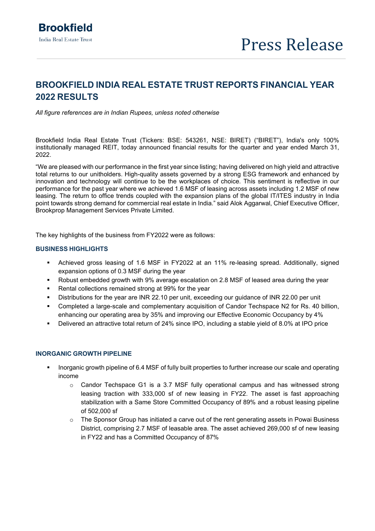# **BROOKFIELD INDIA REAL ESTATE TRUST REPORTS FINANCIAL YEAR 2022 RESULTS**

*All figure references are in Indian Rupees, unless noted otherwise*

Brookfield India Real Estate Trust (Tickers: BSE: 543261, NSE: BIRET) ("BIRET"), India's only 100% institutionally managed REIT, today announced financial results for the quarter and year ended March 31, 2022.

"We are pleased with our performance in the first year since listing; having delivered on high yield and attractive total returns to our unitholders. High-quality assets governed by a strong ESG framework and enhanced by innovation and technology will continue to be the workplaces of choice. This sentiment is reflective in our performance for the past year where we achieved 1.6 MSF of leasing across assets including 1.2 MSF of new leasing. The return to office trends coupled with the expansion plans of the global IT/ITES industry in India point towards strong demand for commercial real estate in India." said Alok Aggarwal, Chief Executive Officer, Brookprop Management Services Private Limited.

The key highlights of the business from FY2022 were as follows:

### **BUSINESS HIGHLIGHTS**

- Achieved gross leasing of 1.6 MSF in FY2022 at an 11% re-leasing spread. Additionally, signed expansion options of 0.3 MSF during the year
- Robust embedded growth with 9% average escalation on 2.8 MSF of leased area during the year
- Rental collections remained strong at 99% for the year
- Distributions for the year are INR 22.10 per unit, exceeding our guidance of INR 22.00 per unit
- Completed a large-scale and complementary acquisition of Candor Techspace N2 for Rs. 40 billion, enhancing our operating area by 35% and improving our Effective Economic Occupancy by 4%
- Delivered an attractive total return of 24% since IPO, including a stable yield of 8.0% at IPO price

## **INORGANIC GROWTH PIPELINE**

- Inorganic growth pipeline of 6.4 MSF of fully built properties to further increase our scale and operating income
	- $\circ$  Candor Techspace G1 is a 3.7 MSF fully operational campus and has witnessed strong leasing traction with 333,000 sf of new leasing in FY22. The asset is fast approaching stabilization with a Same Store Committed Occupancy of 89% and a robust leasing pipeline of 502,000 sf
	- o The Sponsor Group has initiated a carve out of the rent generating assets in Powai Business District, comprising 2.7 MSF of leasable area. The asset achieved 269,000 sf of new leasing in FY22 and has a Committed Occupancy of 87%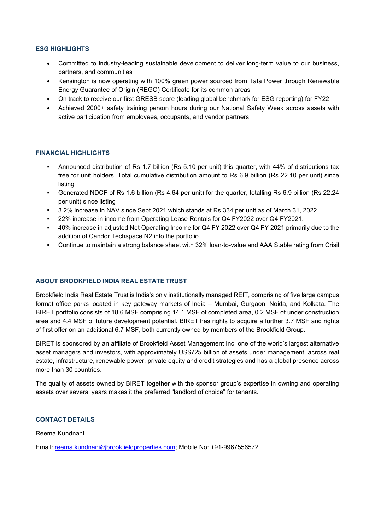## **ESG HIGHLIGHTS**

- Committed to industry-leading sustainable development to deliver long-term value to our business, partners, and communities
- Kensington is now operating with 100% green power sourced from Tata Power through Renewable Energy Guarantee of Origin (REGO) Certificate for its common areas
- On track to receive our first GRESB score (leading global benchmark for ESG reporting) for FY22
- Achieved 2000+ safety training person hours during our National Safety Week across assets with active participation from employees, occupants, and vendor partners

# **FINANCIAL HIGHLIGHTS**

- Announced distribution of Rs 1.7 billion (Rs 5.10 per unit) this quarter, with 44% of distributions tax free for unit holders. Total cumulative distribution amount to Rs 6.9 billion (Rs 22.10 per unit) since listing
- Generated NDCF of Rs 1.6 billion (Rs 4.64 per unit) for the quarter, totalling Rs 6.9 billion (Rs 22.24 per unit) since listing
- 3.2% increase in NAV since Sept 2021 which stands at Rs 334 per unit as of March 31, 2022.
- 22% increase in income from Operating Lease Rentals for Q4 FY2022 over Q4 FY2021.
- 40% increase in adjusted Net Operating Income for Q4 FY 2022 over Q4 FY 2021 primarily due to the addition of Candor Techspace N2 into the portfolio
- Continue to maintain a strong balance sheet with 32% loan-to-value and AAA Stable rating from Crisil

# **ABOUT BROOKFIELD INDIA REAL ESTATE TRUST**

Brookfield India Real Estate Trust is India's only institutionally managed REIT, comprising of five large campus format office parks located in key gateway markets of India – Mumbai, Gurgaon, Noida, and Kolkata. The BIRET portfolio consists of 18.6 MSF comprising 14.1 MSF of completed area, 0.2 MSF of under construction area and 4.4 MSF of future development potential. BIRET has rights to acquire a further 3.7 MSF and rights of first offer on an additional 6.7 MSF, both currently owned by members of the Brookfield Group.

BIRET is sponsored by an affiliate of Brookfield Asset Management Inc, one of the world's largest alternative asset managers and investors, with approximately US\$725 billion of assets under management, across real estate, infrastructure, renewable power, private equity and credit strategies and has a global presence across more than 30 countries.

The quality of assets owned by BIRET together with the sponsor group's expertise in owning and operating assets over several years makes it the preferred "landlord of choice" for tenants.

## **CONTACT DETAILS**

Reema Kundnani

Email: [reema.kundnani@brookfieldproperties.com;](mailto:reema.kundnani@brookfieldproperties.com) Mobile No: +91-9967556572